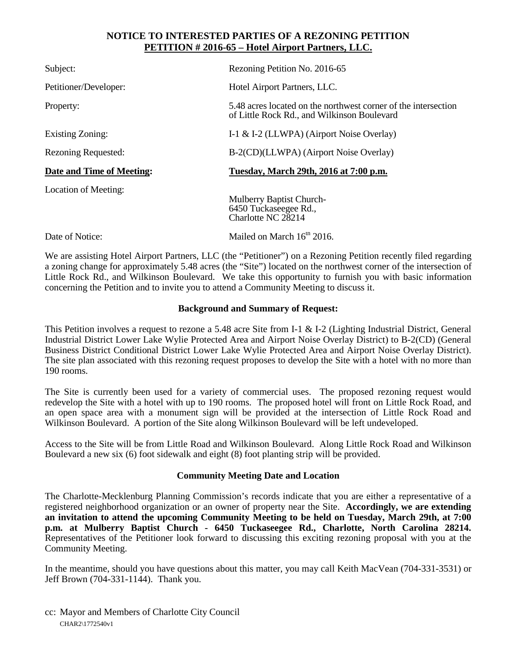## **NOTICE TO INTERESTED PARTIES OF A REZONING PETITION PETITION # 2016-65 – Hotel Airport Partners, LLC.**

| Subject:                   | Rezoning Petition No. 2016-65                                                                                 |
|----------------------------|---------------------------------------------------------------------------------------------------------------|
| Petitioner/Developer:      | Hotel Airport Partners, LLC.                                                                                  |
| Property:                  | 5.48 acres located on the northwest corner of the intersection<br>of Little Rock Rd., and Wilkinson Boulevard |
| Existing Zoning:           | I-1 & I-2 (LLWPA) (Airport Noise Overlay)                                                                     |
| <b>Rezoning Requested:</b> | B-2(CD)(LLWPA) (Airport Noise Overlay)                                                                        |
| Date and Time of Meeting:  | Tuesday, March 29th, 2016 at 7:00 p.m.                                                                        |
| Location of Meeting:       | <b>Mulberry Baptist Church-</b><br>6450 Tuckaseegee Rd.,<br>Charlotte NC 28214                                |

Date of Notice: Mailed on March 16<sup>th</sup> 2016.

We are assisting Hotel Airport Partners, LLC (the "Petitioner") on a Rezoning Petition recently filed regarding a zoning change for approximately 5.48 acres (the "Site") located on the northwest corner of the intersection of Little Rock Rd., and Wilkinson Boulevard. We take this opportunity to furnish you with basic information concerning the Petition and to invite you to attend a Community Meeting to discuss it.

## **Background and Summary of Request:**

This Petition involves a request to rezone a 5.48 acre Site from I-1 & I-2 (Lighting Industrial District, General Industrial District Lower Lake Wylie Protected Area and Airport Noise Overlay District) to B-2(CD) (General Business District Conditional District Lower Lake Wylie Protected Area and Airport Noise Overlay District). The site plan associated with this rezoning request proposes to develop the Site with a hotel with no more than 190 rooms.

The Site is currently been used for a variety of commercial uses. The proposed rezoning request would redevelop the Site with a hotel with up to 190 rooms. The proposed hotel will front on Little Rock Road, and an open space area with a monument sign will be provided at the intersection of Little Rock Road and Wilkinson Boulevard. A portion of the Site along Wilkinson Boulevard will be left undeveloped.

Access to the Site will be from Little Road and Wilkinson Boulevard. Along Little Rock Road and Wilkinson Boulevard a new six (6) foot sidewalk and eight (8) foot planting strip will be provided.

## **Community Meeting Date and Location**

The Charlotte-Mecklenburg Planning Commission's records indicate that you are either a representative of a registered neighborhood organization or an owner of property near the Site. **Accordingly, we are extending an invitation to attend the upcoming Community Meeting to be held on Tuesday, March 29th, at 7:00 p.m. at Mulberry Baptist Church - 6450 Tuckaseegee Rd., Charlotte, North Carolina 28214.**  Representatives of the Petitioner look forward to discussing this exciting rezoning proposal with you at the Community Meeting.

In the meantime, should you have questions about this matter, you may call Keith MacVean (704-331-3531) or Jeff Brown (704-331-1144). Thank you.

CHAR2\1772540v1 cc: Mayor and Members of Charlotte City Council